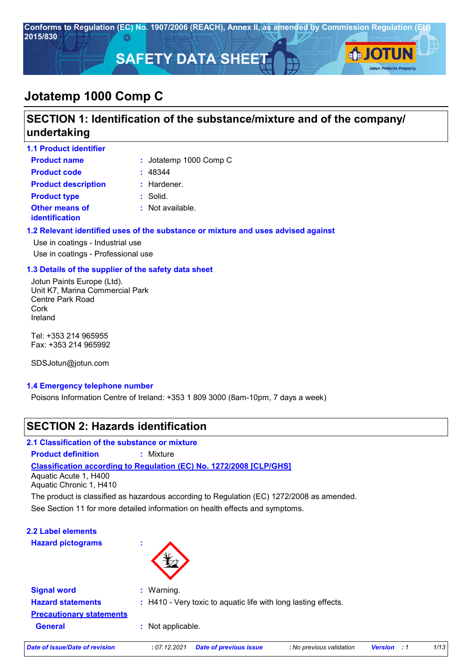

## **Jotatemp 1000 Comp C**

## **SECTION 1: Identification of the substance/mixture and of the company/ undertaking**

| <b>1.1 Product identifier</b>                  |                             |
|------------------------------------------------|-----------------------------|
| <b>Product name</b>                            | : Jotatemp 1000 Comp C      |
| <b>Product code</b>                            | : 48344                     |
| <b>Product description</b>                     | : Hardener.                 |
| <b>Product type</b>                            | $:$ Solid.                  |
| <b>Other means of</b><br><b>identification</b> | $\therefore$ Not available. |

#### **1.2 Relevant identified uses of the substance or mixture and uses advised against**

Use in coatings - Industrial use Use in coatings - Professional use

#### **1.3 Details of the supplier of the safety data sheet**

Jotun Paints Europe (Ltd). Unit K7, Marina Commercial Park Centre Park Road Cork Ireland

Tel: +353 214 965955 Fax: +353 214 965992

SDSJotun@jotun.com

#### **1.4 Emergency telephone number**

Poisons Information Centre of Ireland: +353 1 809 3000 (8am-10pm, 7 days a week)

## **SECTION 2: Hazards identification**

**2.1 Classification of the substance or mixture**

**Product definition :** Mixture

### **Classification according to Regulation (EC) No. 1272/2008 [CLP/GHS]**

Aquatic Acute 1, H400 Aquatic Chronic 1, H410

The product is classified as hazardous according to Regulation (EC) 1272/2008 as amended.

See Section 11 for more detailed information on health effects and symptoms.

| 2.2 Label elements       |   |
|--------------------------|---|
| <b>Hazard pictograms</b> | ٠ |
|                          |   |



| <b>Signal word</b><br><b>Hazard statements</b>    | $\therefore$ Warning.<br>: H410 - Very toxic to aquatic life with long lasting effects. |                               |                          |                |       |      |
|---------------------------------------------------|-----------------------------------------------------------------------------------------|-------------------------------|--------------------------|----------------|-------|------|
| <b>Precautionary statements</b><br><b>General</b> | : Not applicable.                                                                       |                               |                          |                |       |      |
| <b>Date of issue/Date of revision</b>             | : 07.12.2021                                                                            | <b>Date of previous issue</b> | : No previous validation | <b>Version</b> | . . 1 | 1/13 |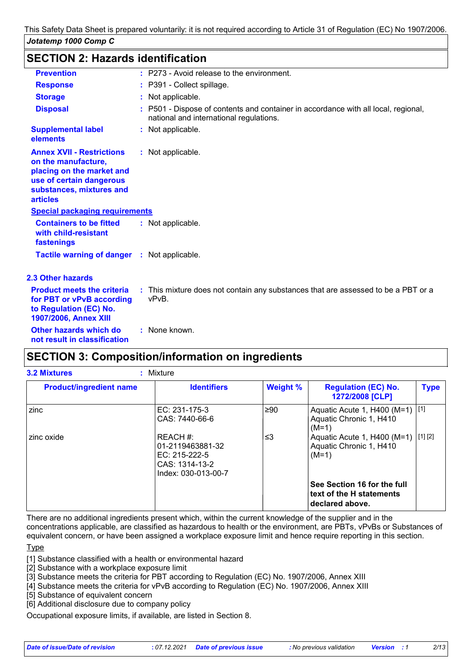### **SECTION 2: Hazards identification**

| <b>Prevention</b>                                                                                                                                               | : P273 - Avoid release to the environment.                                                                                    |
|-----------------------------------------------------------------------------------------------------------------------------------------------------------------|-------------------------------------------------------------------------------------------------------------------------------|
| <b>Response</b>                                                                                                                                                 | : P391 - Collect spillage.                                                                                                    |
| <b>Storage</b>                                                                                                                                                  | : Not applicable.                                                                                                             |
| <b>Disposal</b>                                                                                                                                                 | : P501 - Dispose of contents and container in accordance with all local, regional,<br>national and international regulations. |
| <b>Supplemental label</b><br>elements                                                                                                                           | : Not applicable.                                                                                                             |
| <b>Annex XVII - Restrictions</b><br>on the manufacture,<br>placing on the market and<br>use of certain dangerous<br>substances, mixtures and<br><b>articles</b> | : Not applicable.                                                                                                             |
| <b>Special packaging requirements</b>                                                                                                                           |                                                                                                                               |
| <b>Containers to be fitted</b><br>with child-resistant<br>fastenings                                                                                            | : Not applicable.                                                                                                             |
| <b>Tactile warning of danger : Not applicable.</b>                                                                                                              |                                                                                                                               |
| <b>2.3 Other hazards</b>                                                                                                                                        |                                                                                                                               |
| <b>Product meets the criteria</b><br>for PBT or vPvB according<br>to Regulation (EC) No.<br>1907/2006, Annex XIII                                               | : This mixture does not contain any substances that are assessed to be a PBT or a<br>vPvB.                                    |
| Other hazards which do<br>not result in classification                                                                                                          | : None known.                                                                                                                 |

### **SECTION 3: Composition/information on ingredients**

| <b>Product/ingredient name</b> | <b>Identifiers</b>                                                                     | <b>Weight %</b> | <b>Regulation (EC) No.</b><br>1272/2008 [CLP]                              | <b>Type</b> |
|--------------------------------|----------------------------------------------------------------------------------------|-----------------|----------------------------------------------------------------------------|-------------|
| zinc                           | EC: 231-175-3<br>CAS: 7440-66-6                                                        | ≥90             | Aquatic Acute 1, H400 (M=1) [1]<br>Aquatic Chronic 1, H410<br>$(M=1)$      |             |
| zinc oxide                     | REACH #:<br>01-2119463881-32<br>EC: 215-222-5<br>CAS: 1314-13-2<br>Index: 030-013-00-7 | ≤3              | Aquatic Acute 1, H400 (M=1) [1] [2]<br>Aquatic Chronic 1, H410<br>$(M=1)$  |             |
|                                |                                                                                        |                 | See Section 16 for the full<br>text of the H statements<br>declared above. |             |

There are no additional ingredients present which, within the current knowledge of the supplier and in the concentrations applicable, are classified as hazardous to health or the environment, are PBTs, vPvBs or Substances of equivalent concern, or have been assigned a workplace exposure limit and hence require reporting in this section.

**Type** 

[1] Substance classified with a health or environmental hazard

[2] Substance with a workplace exposure limit

[3] Substance meets the criteria for PBT according to Regulation (EC) No. 1907/2006, Annex XIII

[4] Substance meets the criteria for vPvB according to Regulation (EC) No. 1907/2006, Annex XIII

[5] Substance of equivalent concern

[6] Additional disclosure due to company policy

Occupational exposure limits, if available, are listed in Section 8.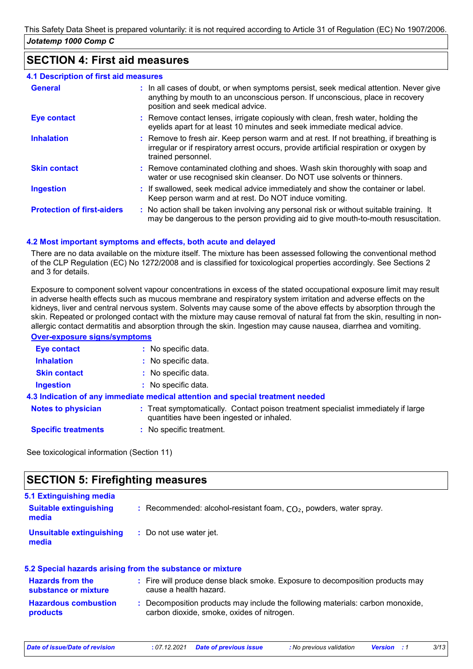### **SECTION 4: First aid measures**

| <b>4.1 Description of first aid measures</b> |                                                                                                                                                                                                             |
|----------------------------------------------|-------------------------------------------------------------------------------------------------------------------------------------------------------------------------------------------------------------|
| <b>General</b>                               | : In all cases of doubt, or when symptoms persist, seek medical attention. Never give<br>anything by mouth to an unconscious person. If unconscious, place in recovery<br>position and seek medical advice. |
| <b>Eye contact</b>                           | : Remove contact lenses, irrigate copiously with clean, fresh water, holding the<br>eyelids apart for at least 10 minutes and seek immediate medical advice.                                                |
| <b>Inhalation</b>                            | : Remove to fresh air. Keep person warm and at rest. If not breathing, if breathing is<br>irregular or if respiratory arrest occurs, provide artificial respiration or oxygen by<br>trained personnel.      |
| <b>Skin contact</b>                          | : Remove contaminated clothing and shoes. Wash skin thoroughly with soap and<br>water or use recognised skin cleanser. Do NOT use solvents or thinners.                                                     |
| <b>Ingestion</b>                             | : If swallowed, seek medical advice immediately and show the container or label.<br>Keep person warm and at rest. Do NOT induce vomiting.                                                                   |
| <b>Protection of first-aiders</b>            | : No action shall be taken involving any personal risk or without suitable training. It<br>may be dangerous to the person providing aid to give mouth-to-mouth resuscitation.                               |

#### **4.2 Most important symptoms and effects, both acute and delayed**

There are no data available on the mixture itself. The mixture has been assessed following the conventional method of the CLP Regulation (EC) No 1272/2008 and is classified for toxicological properties accordingly. See Sections 2 and 3 for details.

Exposure to component solvent vapour concentrations in excess of the stated occupational exposure limit may result in adverse health effects such as mucous membrane and respiratory system irritation and adverse effects on the kidneys, liver and central nervous system. Solvents may cause some of the above effects by absorption through the skin. Repeated or prolonged contact with the mixture may cause removal of natural fat from the skin, resulting in nonallergic contact dermatitis and absorption through the skin. Ingestion may cause nausea, diarrhea and vomiting.

#### **Over-exposure signs/symptoms**

| <b>Eye contact</b>         | : No specific data.                                                                                                            |
|----------------------------|--------------------------------------------------------------------------------------------------------------------------------|
| <b>Inhalation</b>          | : No specific data.                                                                                                            |
| <b>Skin contact</b>        | : No specific data.                                                                                                            |
| <b>Ingestion</b>           | $:$ No specific data.                                                                                                          |
|                            | 4.3 Indication of any immediate medical attention and special treatment needed                                                 |
| <b>Notes to physician</b>  | : Treat symptomatically. Contact poison treatment specialist immediately if large<br>quantities have been ingested or inhaled. |
| <b>Specific treatments</b> | : No specific treatment.                                                                                                       |

See toxicological information (Section 11)

### **SECTION 5: Firefighting measures**

| 5.1 Extinguishing media<br><b>Suitable extinguishing</b><br>media | : Recommended: alcohol-resistant foam, $CO2$ , powders, water spray. |
|-------------------------------------------------------------------|----------------------------------------------------------------------|
| Unsuitable extinguishing<br>media                                 | : Do not use water jet.                                              |

#### **Hazardous combustion products Hazards from the substance or mixture :** Fire will produce dense black smoke. Exposure to decomposition products may **:** Decomposition products may include the following materials: carbon monoxide, **5.2 Special hazards arising from the substance or mixture** cause a health hazard. carbon dioxide, smoke, oxides of nitrogen.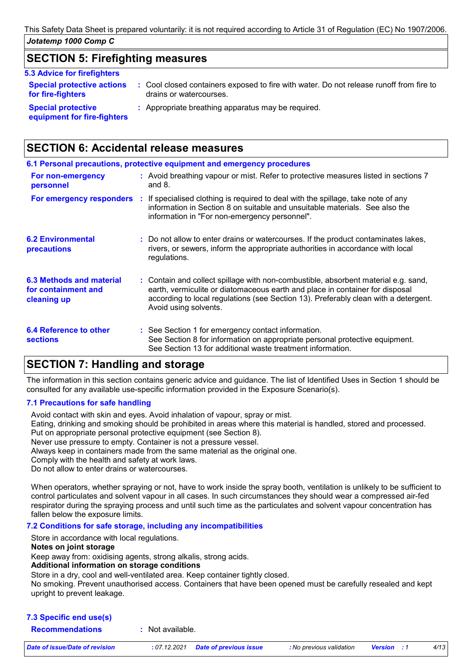### **SECTION 5: Firefighting measures**

#### **5.3 Advice for firefighters**

| <b>Special protective actions</b><br>for fire-fighters | : Cool closed containers exposed to fire with water. Do not release runoff from fire to<br>drains or watercourses. |
|--------------------------------------------------------|--------------------------------------------------------------------------------------------------------------------|
| <b>Special protective</b>                              | : Appropriate breathing apparatus may be required.                                                                 |

**equipment for fire-fighters**

## **SECTION 6: Accidental release measures**

|                                                                | 6.1 Personal precautions, protective equipment and emergency procedures                                                                                                                                                                                                            |
|----------------------------------------------------------------|------------------------------------------------------------------------------------------------------------------------------------------------------------------------------------------------------------------------------------------------------------------------------------|
| For non-emergency<br>personnel                                 | : Avoid breathing vapour or mist. Refer to protective measures listed in sections 7<br>and $8.$                                                                                                                                                                                    |
| For emergency responders :                                     | If specialised clothing is required to deal with the spillage, take note of any<br>information in Section 8 on suitable and unsuitable materials. See also the<br>information in "For non-emergency personnel".                                                                    |
| <b>6.2 Environmental</b><br>precautions                        | : Do not allow to enter drains or watercourses. If the product contaminates lakes,<br>rivers, or sewers, inform the appropriate authorities in accordance with local<br>regulations.                                                                                               |
| 6.3 Methods and material<br>for containment and<br>cleaning up | : Contain and collect spillage with non-combustible, absorbent material e.g. sand,<br>earth, vermiculite or diatomaceous earth and place in container for disposal<br>according to local regulations (see Section 13). Preferably clean with a detergent.<br>Avoid using solvents. |
| 6.4 Reference to other<br><b>sections</b>                      | : See Section 1 for emergency contact information.<br>See Section 8 for information on appropriate personal protective equipment.<br>See Section 13 for additional waste treatment information.                                                                                    |

### **SECTION 7: Handling and storage**

The information in this section contains generic advice and guidance. The list of Identified Uses in Section 1 should be consulted for any available use-specific information provided in the Exposure Scenario(s).

### **7.1 Precautions for safe handling**

Avoid contact with skin and eyes. Avoid inhalation of vapour, spray or mist.

Eating, drinking and smoking should be prohibited in areas where this material is handled, stored and processed. Put on appropriate personal protective equipment (see Section 8).

Never use pressure to empty. Container is not a pressure vessel.

Always keep in containers made from the same material as the original one.

Comply with the health and safety at work laws.

Do not allow to enter drains or watercourses.

When operators, whether spraying or not, have to work inside the spray booth, ventilation is unlikely to be sufficient to control particulates and solvent vapour in all cases. In such circumstances they should wear a compressed air-fed respirator during the spraying process and until such time as the particulates and solvent vapour concentration has fallen below the exposure limits.

#### **7.2 Conditions for safe storage, including any incompatibilities**

Store in accordance with local regulations.

#### **Notes on joint storage**

Keep away from: oxidising agents, strong alkalis, strong acids.

#### **Additional information on storage conditions**

Store in a dry, cool and well-ventilated area. Keep container tightly closed.

No smoking. Prevent unauthorised access. Containers that have been opened must be carefully resealed and kept upright to prevent leakage.

### **7.3 Specific end use(s)**

**Recommendations :** Not available.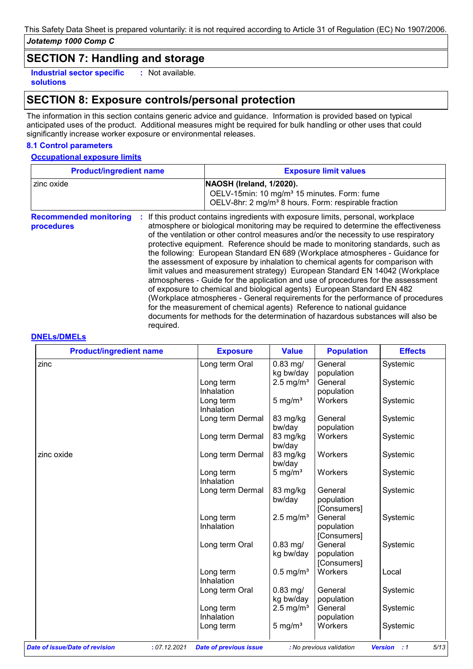## **SECTION 7: Handling and storage**

**Industrial sector specific : solutions** : Not available.

### **SECTION 8: Exposure controls/personal protection**

The information in this section contains generic advice and guidance. Information is provided based on typical anticipated uses of the product. Additional measures might be required for bulk handling or other uses that could significantly increase worker exposure or environmental releases.

#### **8.1 Control parameters**

#### **Occupational exposure limits**

| <b>Product/ingredient name</b>              |                | <b>Exposure limit values</b>                                                                                                                                                                                                                                                                                                                                                                                                                                                                                                                                                                                                                                                                                                                                                                                                                                                                                                                                                                                        |  |  |
|---------------------------------------------|----------------|---------------------------------------------------------------------------------------------------------------------------------------------------------------------------------------------------------------------------------------------------------------------------------------------------------------------------------------------------------------------------------------------------------------------------------------------------------------------------------------------------------------------------------------------------------------------------------------------------------------------------------------------------------------------------------------------------------------------------------------------------------------------------------------------------------------------------------------------------------------------------------------------------------------------------------------------------------------------------------------------------------------------|--|--|
| zinc oxide                                  |                | NAOSH (Ireland, 1/2020).<br>OELV-15min: 10 mg/m <sup>3</sup> 15 minutes. Form: fume<br>OELV-8hr: 2 mg/m <sup>3</sup> 8 hours. Form: respirable fraction                                                                                                                                                                                                                                                                                                                                                                                                                                                                                                                                                                                                                                                                                                                                                                                                                                                             |  |  |
| <b>Recommended monitoring</b><br>procedures | ÷<br>required. | If this product contains ingredients with exposure limits, personal, workplace<br>atmosphere or biological monitoring may be required to determine the effectiveness<br>of the ventilation or other control measures and/or the necessity to use respiratory<br>protective equipment. Reference should be made to monitoring standards, such as<br>the following: European Standard EN 689 (Workplace atmospheres - Guidance for<br>the assessment of exposure by inhalation to chemical agents for comparison with<br>limit values and measurement strategy) European Standard EN 14042 (Workplace<br>atmospheres - Guide for the application and use of procedures for the assessment<br>of exposure to chemical and biological agents) European Standard EN 482<br>(Workplace atmospheres - General requirements for the performance of procedures<br>for the measurement of chemical agents) Reference to national guidance<br>documents for methods for the determination of hazardous substances will also be |  |  |

#### **DNELs/DMELs**

| <b>Product/ingredient name</b> | <b>Exposure</b>                               | <b>Value</b>            | <b>Population</b>        | <b>Effects</b>                       |
|--------------------------------|-----------------------------------------------|-------------------------|--------------------------|--------------------------------------|
| zinc                           | Long term Oral                                | $0.83$ mg/<br>kg bw/day | General<br>population    | Systemic                             |
|                                |                                               |                         |                          |                                      |
|                                | Long term                                     | $2.5 \text{ mg/m}^3$    | General                  | Systemic                             |
|                                | Inhalation                                    |                         | population               |                                      |
|                                | Long term                                     | 5 mg/ $m3$              | Workers                  | Systemic                             |
|                                | Inhalation                                    |                         |                          |                                      |
|                                | Long term Dermal                              | 83 mg/kg                | General                  | Systemic                             |
|                                |                                               | bw/day                  | population               |                                      |
|                                | Long term Dermal                              | 83 mg/kg<br>bw/day      | Workers                  | Systemic                             |
| zinc oxide                     | Long term Dermal                              | 83 mg/kg<br>bw/day      | Workers                  | Systemic                             |
|                                | Long term<br>Inhalation                       | 5 mg/ $m3$              | Workers                  | Systemic                             |
|                                | Long term Dermal                              | 83 mg/kg                | General                  | Systemic                             |
|                                |                                               | bw/day                  | population               |                                      |
|                                |                                               |                         | [Consumers]              |                                      |
|                                | Long term                                     | $2.5 \text{ mg/m}^3$    | General                  | Systemic                             |
|                                | Inhalation                                    |                         | population               |                                      |
|                                |                                               |                         | [Consumers]              |                                      |
|                                | Long term Oral                                | $0.83$ mg/              | General                  | Systemic                             |
|                                |                                               | kg bw/day               | population               |                                      |
|                                |                                               |                         | [Consumers]              |                                      |
|                                | Long term                                     | $0.5$ mg/m <sup>3</sup> | Workers                  | Local                                |
|                                | Inhalation                                    |                         |                          |                                      |
|                                | Long term Oral                                | $0.83$ mg/              | General                  | Systemic                             |
|                                |                                               | kg bw/day               | population               |                                      |
|                                | Long term                                     | $2.5 \text{ mg/m}^3$    | General                  | Systemic                             |
|                                | Inhalation                                    |                         | population               |                                      |
|                                |                                               | 5 mg/ $m3$              | Workers                  | Systemic                             |
|                                | Long term                                     |                         |                          |                                      |
| Date of issue/Date of revision | : 07.12.2021<br><b>Date of previous issue</b> |                         | : No previous validation | 5/13<br><b>Version</b><br>$\cdot$ :1 |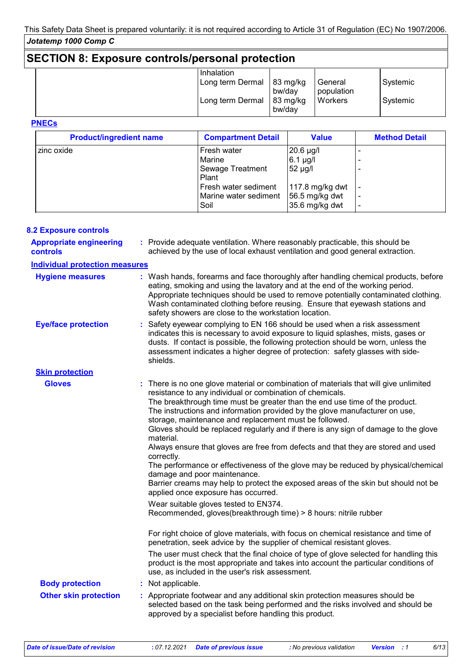## **SECTION 8: Exposure controls/personal protection**

| Inhalation       |                              |                       |          |
|------------------|------------------------------|-----------------------|----------|
| Long term Dermal | $83 \text{ mg/kg}$<br>bw/day | General<br>population | Systemic |
| Long term Dermal | 83 mg/kg<br>bw/day           | <b>Workers</b>        | Systemic |
|                  |                              |                       |          |

#### **PNECs**

| <b>Product/ingredient name</b> | <b>Compartment Detail</b> | <b>Value</b>     | <b>Method Detail</b> |
|--------------------------------|---------------------------|------------------|----------------------|
| zinc oxide                     | Fresh water               | $20.6 \mu g/l$   |                      |
|                                | Marine                    | $6.1$ µg/l       |                      |
|                                | Sewage Treatment          | $52 \mu g/l$     |                      |
|                                | Plant                     |                  |                      |
|                                | Fresh water sediment      | 117.8 mg/kg dwt  |                      |
|                                | Marine water sediment     | 56.5 mg/kg dwt   |                      |
|                                | Soil                      | $35.6$ mg/kg dwt |                      |

#### **8.2 Exposure controls**

| <b>Appropriate engineering</b><br><b>controls</b>      | : Provide adequate ventilation. Where reasonably practicable, this should be<br>achieved by the use of local exhaust ventilation and good general extraction.                                                                                                                                                                                                                                                                                                                                                                                                                                                                                                                                                                                                                                                                                                                                                                                    |  |
|--------------------------------------------------------|--------------------------------------------------------------------------------------------------------------------------------------------------------------------------------------------------------------------------------------------------------------------------------------------------------------------------------------------------------------------------------------------------------------------------------------------------------------------------------------------------------------------------------------------------------------------------------------------------------------------------------------------------------------------------------------------------------------------------------------------------------------------------------------------------------------------------------------------------------------------------------------------------------------------------------------------------|--|
| <b>Individual protection measures</b>                  |                                                                                                                                                                                                                                                                                                                                                                                                                                                                                                                                                                                                                                                                                                                                                                                                                                                                                                                                                  |  |
| <b>Hygiene measures</b>                                | : Wash hands, forearms and face thoroughly after handling chemical products, before<br>eating, smoking and using the lavatory and at the end of the working period.<br>Appropriate techniques should be used to remove potentially contaminated clothing.<br>Wash contaminated clothing before reusing. Ensure that eyewash stations and<br>safety showers are close to the workstation location.                                                                                                                                                                                                                                                                                                                                                                                                                                                                                                                                                |  |
| <b>Eye/face protection</b>                             | : Safety eyewear complying to EN 166 should be used when a risk assessment<br>indicates this is necessary to avoid exposure to liquid splashes, mists, gases or<br>dusts. If contact is possible, the following protection should be worn, unless the<br>assessment indicates a higher degree of protection: safety glasses with side-<br>shields.                                                                                                                                                                                                                                                                                                                                                                                                                                                                                                                                                                                               |  |
| <b>Skin protection</b>                                 |                                                                                                                                                                                                                                                                                                                                                                                                                                                                                                                                                                                                                                                                                                                                                                                                                                                                                                                                                  |  |
| <b>Gloves</b>                                          | : There is no one glove material or combination of materials that will give unlimited<br>resistance to any individual or combination of chemicals.<br>The breakthrough time must be greater than the end use time of the product.<br>The instructions and information provided by the glove manufacturer on use,<br>storage, maintenance and replacement must be followed.<br>Gloves should be replaced regularly and if there is any sign of damage to the glove<br>material.<br>Always ensure that gloves are free from defects and that they are stored and used<br>correctly.<br>The performance or effectiveness of the glove may be reduced by physical/chemical<br>damage and poor maintenance.<br>Barrier creams may help to protect the exposed areas of the skin but should not be<br>applied once exposure has occurred.<br>Wear suitable gloves tested to EN374.<br>Recommended, gloves(breakthrough time) > 8 hours: nitrile rubber |  |
| <b>Body protection</b><br><b>Other skin protection</b> | For right choice of glove materials, with focus on chemical resistance and time of<br>penetration, seek advice by the supplier of chemical resistant gloves.<br>The user must check that the final choice of type of glove selected for handling this<br>product is the most appropriate and takes into account the particular conditions of<br>use, as included in the user's risk assessment.<br>: Not applicable.<br>: Appropriate footwear and any additional skin protection measures should be<br>selected based on the task being performed and the risks involved and should be<br>approved by a specialist before handling this product.                                                                                                                                                                                                                                                                                                |  |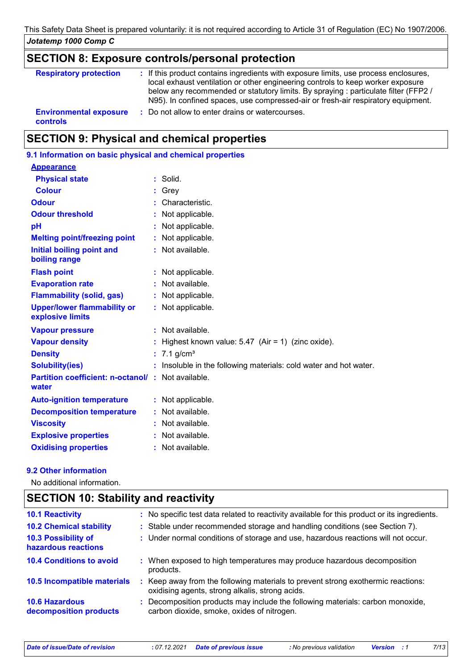### **SECTION 8: Exposure controls/personal protection**

| <b>Respiratory protection</b>                    | : If this product contains ingredients with exposure limits, use process enclosures,<br>local exhaust ventilation or other engineering controls to keep worker exposure<br>below any recommended or statutory limits. By spraying : particulate filter (FFP2 /<br>N95). In confined spaces, use compressed-air or fresh-air respiratory equipment. |
|--------------------------------------------------|----------------------------------------------------------------------------------------------------------------------------------------------------------------------------------------------------------------------------------------------------------------------------------------------------------------------------------------------------|
| <b>Environmental exposure</b><br><b>controls</b> | : Do not allow to enter drains or watercourses.                                                                                                                                                                                                                                                                                                    |

## **SECTION 9: Physical and chemical properties**

| 9.1 Information on basic physical and chemical properties         |
|-------------------------------------------------------------------|
|                                                                   |
| $:$ Solid.                                                        |
| Grey                                                              |
| Characteristic.                                                   |
| : Not applicable.                                                 |
| Not applicable.                                                   |
| : Not applicable.                                                 |
| : Not available.                                                  |
| : Not applicable.                                                 |
| : Not available.                                                  |
| : Not applicable.                                                 |
| : Not applicable.                                                 |
| $:$ Not available.                                                |
| Highest known value: $5.47$ (Air = 1) (zinc oxide).               |
| 7.1 $g/cm3$                                                       |
| : Insoluble in the following materials: cold water and hot water. |
| <b>Partition coefficient: n-octanol/: Not available.</b>          |
| : Not applicable.                                                 |
| Not available.                                                    |
| Not available.                                                    |
| Not available.                                                    |
| : Not available.                                                  |
|                                                                   |

### **9.2 Other information**

No additional information.

## **SECTION 10: Stability and reactivity**

| <b>10.1 Reactivity</b>                            | : No specific test data related to reactivity available for this product or its ingredients.                                        |
|---------------------------------------------------|-------------------------------------------------------------------------------------------------------------------------------------|
| <b>10.2 Chemical stability</b>                    | : Stable under recommended storage and handling conditions (see Section 7).                                                         |
| <b>10.3 Possibility of</b><br>hazardous reactions | : Under normal conditions of storage and use, hazardous reactions will not occur.                                                   |
| <b>10.4 Conditions to avoid</b>                   | : When exposed to high temperatures may produce hazardous decomposition<br>products.                                                |
| 10.5 Incompatible materials                       | : Keep away from the following materials to prevent strong exothermic reactions:<br>oxidising agents, strong alkalis, strong acids. |
| <b>10.6 Hazardous</b><br>decomposition products   | : Decomposition products may include the following materials: carbon monoxide,<br>carbon dioxide, smoke, oxides of nitrogen.        |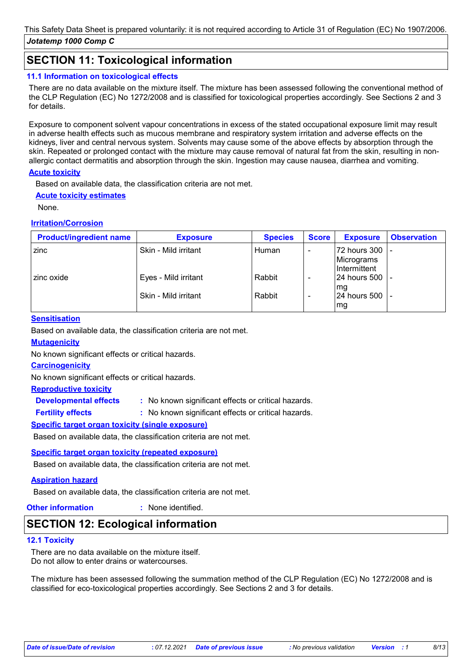## **SECTION 11: Toxicological information**

#### **11.1 Information on toxicological effects**

There are no data available on the mixture itself. The mixture has been assessed following the conventional method of the CLP Regulation (EC) No 1272/2008 and is classified for toxicological properties accordingly. See Sections 2 and 3 for details.

Exposure to component solvent vapour concentrations in excess of the stated occupational exposure limit may result in adverse health effects such as mucous membrane and respiratory system irritation and adverse effects on the kidneys, liver and central nervous system. Solvents may cause some of the above effects by absorption through the skin. Repeated or prolonged contact with the mixture may cause removal of natural fat from the skin, resulting in nonallergic contact dermatitis and absorption through the skin. Ingestion may cause nausea, diarrhea and vomiting.

#### **Acute toxicity**

Based on available data, the classification criteria are not met.

#### **Acute toxicity estimates**

None.

#### **Irritation/Corrosion**

| <b>Product/ingredient name</b> | <b>Exposure</b>      | <b>Species</b> | <b>Score</b> | <b>Exposure</b>                                     | <b>Observation</b> |
|--------------------------------|----------------------|----------------|--------------|-----------------------------------------------------|--------------------|
| zinc                           | Skin - Mild irritant | Human          |              | 72 hours 300  <br>Micrograms<br><b>Intermittent</b> |                    |
| zinc oxide                     | Eyes - Mild irritant | Rabbit         |              | 124 hours 500 l<br>mg                               |                    |
|                                | Skin - Mild irritant | Rabbit         |              | 24 hours 500<br>mg                                  |                    |

#### **Sensitisation**

Based on available data, the classification criteria are not met.

#### **Mutagenicity**

No known significant effects or critical hazards.

#### **Carcinogenicity**

**Fertility effects :**

No known significant effects or critical hazards.

#### **Reproductive toxicity**

**Developmental effects :**

: No known significant effects or critical hazards.

: No known significant effects or critical hazards.

#### **Specific target organ toxicity (single exposure)**

Based on available data, the classification criteria are not met.

#### **Specific target organ toxicity (repeated exposure)**

Based on available data, the classification criteria are not met.

### **Aspiration hazard**

Based on available data, the classification criteria are not met.

**Other information :** : None identified.

### **SECTION 12: Ecological information**

#### **12.1 Toxicity**

There are no data available on the mixture itself. Do not allow to enter drains or watercourses.

The mixture has been assessed following the summation method of the CLP Regulation (EC) No 1272/2008 and is classified for eco-toxicological properties accordingly. See Sections 2 and 3 for details.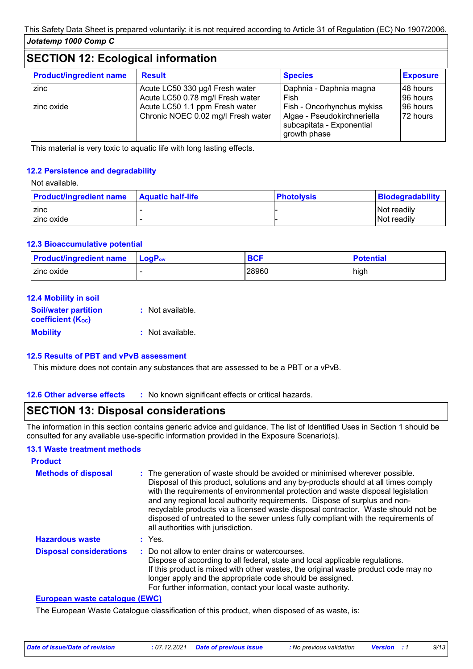## **SECTION 12: Ecological information**

| <b>Product/ingredient name</b> | <b>Result</b>                                                        | <b>Species</b>                                                                                         | <b>Exposure</b>        |
|--------------------------------|----------------------------------------------------------------------|--------------------------------------------------------------------------------------------------------|------------------------|
| zinc                           | Acute LC50 330 µg/l Fresh water<br>Acute LC50 0.78 mg/l Fresh water  | Daphnia - Daphnia magna<br>Fish                                                                        | 148 hours<br>196 hours |
| zinc oxide                     | Acute LC50 1.1 ppm Fresh water<br>Chronic NOEC 0.02 mg/l Fresh water | Fish - Oncorhynchus mykiss<br>Algae - Pseudokirchneriella<br>subcapitata - Exponential<br>growth phase | 96 hours<br>72 hours   |

This material is very toxic to aquatic life with long lasting effects.

#### **12.2 Persistence and degradability**

Not available.

| <b>Product/ingredient name</b> | <b>Aquatic half-life</b> | <b>Photolysis</b> | Biodegradability |
|--------------------------------|--------------------------|-------------------|------------------|
| zinc                           |                          |                   | Not readily      |
| zinc oxide                     |                          |                   | Not readily      |

#### **12.3 Bioaccumulative potential**

| <b>Product/ingredient name</b> | $\mathsf{LogP}_\mathsf{ow}$ | <b>BCF</b> | <b>Potential</b> |
|--------------------------------|-----------------------------|------------|------------------|
| I zinc oxide                   |                             | 28960      | high             |

#### **12.4 Mobility in soil**

| <b>Soil/water partition</b><br><b>coefficient (Koc)</b> | : Not available. |
|---------------------------------------------------------|------------------|
| <b>Mobility</b>                                         | : Not available. |

#### **12.5 Results of PBT and vPvB assessment**

This mixture does not contain any substances that are assessed to be a PBT or a vPvB.

**12.6 Other adverse effects** : No known significant effects or critical hazards.

### **SECTION 13: Disposal considerations**

The information in this section contains generic advice and guidance. The list of Identified Uses in Section 1 should be consulted for any available use-specific information provided in the Exposure Scenario(s).

#### **13.1 Waste treatment methods**

| <b>Product</b>                 |                                                                                                                                                                                                                                                                                                                                                                                                                                                                                                                                                      |
|--------------------------------|------------------------------------------------------------------------------------------------------------------------------------------------------------------------------------------------------------------------------------------------------------------------------------------------------------------------------------------------------------------------------------------------------------------------------------------------------------------------------------------------------------------------------------------------------|
| <b>Methods of disposal</b>     | : The generation of waste should be avoided or minimised wherever possible.<br>Disposal of this product, solutions and any by-products should at all times comply<br>with the requirements of environmental protection and waste disposal legislation<br>and any regional local authority requirements. Dispose of surplus and non-<br>recyclable products via a licensed waste disposal contractor. Waste should not be<br>disposed of untreated to the sewer unless fully compliant with the requirements of<br>all authorities with jurisdiction. |
| <b>Hazardous waste</b>         | $:$ Yes.                                                                                                                                                                                                                                                                                                                                                                                                                                                                                                                                             |
| <b>Disposal considerations</b> | : Do not allow to enter drains or watercourses.<br>Dispose of according to all federal, state and local applicable regulations.<br>If this product is mixed with other wastes, the original waste product code may no<br>longer apply and the appropriate code should be assigned.<br>For further information, contact your local waste authority.                                                                                                                                                                                                   |

#### **European waste catalogue (EWC)**

The European Waste Catalogue classification of this product, when disposed of as waste, is: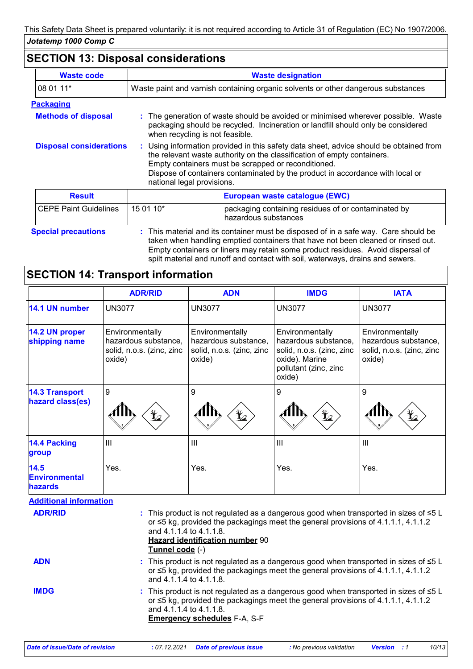## **SECTION 13: Disposal considerations**

| <b>Waste code</b>              | <b>Waste designation</b>                                                                                                                                                                                                                                                                                                                |  |  |
|--------------------------------|-----------------------------------------------------------------------------------------------------------------------------------------------------------------------------------------------------------------------------------------------------------------------------------------------------------------------------------------|--|--|
| 08 01 11*                      | Waste paint and varnish containing organic solvents or other dangerous substances                                                                                                                                                                                                                                                       |  |  |
| <b>Packaging</b>               |                                                                                                                                                                                                                                                                                                                                         |  |  |
| <b>Methods of disposal</b>     | : The generation of waste should be avoided or minimised wherever possible. Waste<br>packaging should be recycled. Incineration or landfill should only be considered<br>when recycling is not feasible.                                                                                                                                |  |  |
| <b>Disposal considerations</b> | : Using information provided in this safety data sheet, advice should be obtained from<br>the relevant waste authority on the classification of empty containers.<br>Empty containers must be scrapped or reconditioned.<br>Dispose of containers contaminated by the product in accordance with local or<br>national legal provisions. |  |  |
| <b>Result</b>                  | European waste catalogue (EWC)                                                                                                                                                                                                                                                                                                          |  |  |
| <b>CEPE Paint Guidelines</b>   | 15 01 10*<br>packaging containing residues of or contaminated by<br>hazardous substances                                                                                                                                                                                                                                                |  |  |
| <b>Special precautions</b>     | : This material and its container must be disposed of in a safe way. Care should be                                                                                                                                                                                                                                                     |  |  |

taken when handling emptied containers that have not been cleaned or rinsed out. Empty containers or liners may retain some product residues. Avoid dispersal of spilt material and runoff and contact with soil, waterways, drains and sewers.

# **SECTION 14: Transport information**

|                                                | <b>ADR/RID</b>                                                                                                                                                                                                                                           | <b>ADN</b>                                                                                                                                                                                                          | <b>IMDG</b>                                                                                                               | <b>IATA</b>                                                                    |
|------------------------------------------------|----------------------------------------------------------------------------------------------------------------------------------------------------------------------------------------------------------------------------------------------------------|---------------------------------------------------------------------------------------------------------------------------------------------------------------------------------------------------------------------|---------------------------------------------------------------------------------------------------------------------------|--------------------------------------------------------------------------------|
| 14.1 UN number                                 | <b>UN3077</b>                                                                                                                                                                                                                                            | <b>UN3077</b>                                                                                                                                                                                                       | <b>UN3077</b>                                                                                                             | <b>UN3077</b>                                                                  |
| 14.2 UN proper<br>shipping name                | Environmentally<br>hazardous substance,<br>solid, n.o.s. (zinc, zinc<br>oxide)                                                                                                                                                                           | Environmentally<br>hazardous substance,<br>solid, n.o.s. (zinc, zinc<br>oxide)                                                                                                                                      | Environmentally<br>hazardous substance,<br>solid, n.o.s. (zinc, zinc<br>oxide). Marine<br>pollutant (zinc, zinc<br>oxide) | Environmentally<br>hazardous substance,<br>solid, n.o.s. (zinc, zinc<br>oxide) |
| <b>14.3 Transport</b><br>hazard class(es)      | $\boldsymbol{9}$                                                                                                                                                                                                                                         | $9\,$                                                                                                                                                                                                               | 9                                                                                                                         | 9                                                                              |
| <b>14.4 Packing</b><br>group                   | III                                                                                                                                                                                                                                                      | III                                                                                                                                                                                                                 | III                                                                                                                       | III                                                                            |
| 14.5<br><b>Environmental</b><br><b>hazards</b> | Yes.                                                                                                                                                                                                                                                     | Yes.                                                                                                                                                                                                                | Yes.                                                                                                                      | Yes.                                                                           |
| <b>Additional information</b>                  |                                                                                                                                                                                                                                                          |                                                                                                                                                                                                                     |                                                                                                                           |                                                                                |
| <b>ADR/RID</b>                                 | and 4.1.1.4 to 4.1.1.8.<br>Tunnel code (-)                                                                                                                                                                                                               | : This product is not regulated as a dangerous good when transported in sizes of $\leq 5$ L<br>or ≤5 kg, provided the packagings meet the general provisions of 4.1.1.1, 4.1.1.2<br>Hazard identification number 90 |                                                                                                                           |                                                                                |
| <b>ADN</b>                                     |                                                                                                                                                                                                                                                          | : This product is not regulated as a dangerous good when transported in sizes of $\leq 5$ L<br>or $\leq$ 5 kg, provided the packagings meet the general provisions of 4.1.1.1, 4.1.1.2<br>and 4.1.1.4 to 4.1.1.8.   |                                                                                                                           |                                                                                |
| <b>IMDG</b>                                    | : This product is not regulated as a dangerous good when transported in sizes of $\leq 5$ L<br>or $\leq$ 5 kg, provided the packagings meet the general provisions of 4.1.1.1, 4.1.1.2<br>and 4.1.1.4 to 4.1.1.8.<br><b>Emergency schedules F-A, S-F</b> |                                                                                                                                                                                                                     |                                                                                                                           |                                                                                |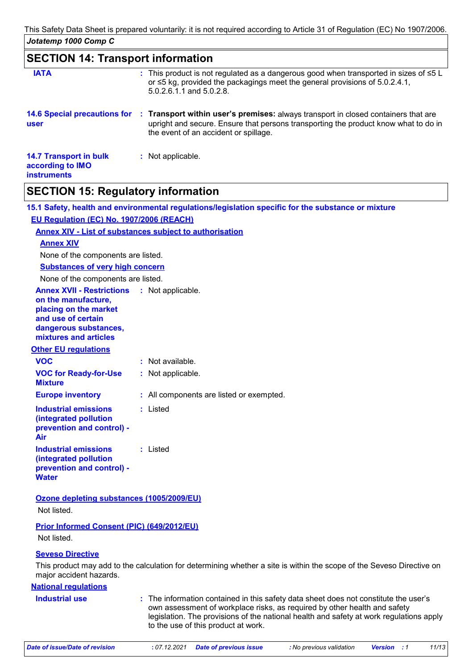## **SECTION 14: Transport information**

| <b>IATA</b>                                                             | : This product is not regulated as a dangerous good when transported in sizes of $\leq 5$ L<br>or $\leq$ 5 kg, provided the packagings meet the general provisions of 5.0.2.4.1,<br>5.0.2.6.1.1 and 5.0.2.8.       |
|-------------------------------------------------------------------------|--------------------------------------------------------------------------------------------------------------------------------------------------------------------------------------------------------------------|
| <b>14.6 Special precautions for</b><br><b>user</b>                      | : Transport within user's premises: always transport in closed containers that are<br>upright and secure. Ensure that persons transporting the product know what to do in<br>the event of an accident or spillage. |
| <b>14.7 Transport in bulk</b><br>according to IMO<br><b>instruments</b> | : Not applicable.                                                                                                                                                                                                  |

## **SECTION 15: Regulatory information**

| 15.1 Safety, health and environmental regulations/legislation specific for the substance or mixture                                                      |                                                                                                                                                                                                                                                                                                     |  |  |  |
|----------------------------------------------------------------------------------------------------------------------------------------------------------|-----------------------------------------------------------------------------------------------------------------------------------------------------------------------------------------------------------------------------------------------------------------------------------------------------|--|--|--|
| EU Regulation (EC) No. 1907/2006 (REACH)                                                                                                                 |                                                                                                                                                                                                                                                                                                     |  |  |  |
|                                                                                                                                                          | <b>Annex XIV - List of substances subject to authorisation</b>                                                                                                                                                                                                                                      |  |  |  |
| <b>Annex XIV</b>                                                                                                                                         |                                                                                                                                                                                                                                                                                                     |  |  |  |
| None of the components are listed.                                                                                                                       |                                                                                                                                                                                                                                                                                                     |  |  |  |
| <b>Substances of very high concern</b>                                                                                                                   |                                                                                                                                                                                                                                                                                                     |  |  |  |
| None of the components are listed.                                                                                                                       |                                                                                                                                                                                                                                                                                                     |  |  |  |
| <b>Annex XVII - Restrictions</b><br>on the manufacture,<br>placing on the market<br>and use of certain<br>dangerous substances,<br>mixtures and articles | : Not applicable.                                                                                                                                                                                                                                                                                   |  |  |  |
| <b>Other EU regulations</b>                                                                                                                              |                                                                                                                                                                                                                                                                                                     |  |  |  |
| <b>VOC</b>                                                                                                                                               | : Not available.                                                                                                                                                                                                                                                                                    |  |  |  |
| <b>VOC for Ready-for-Use</b><br><b>Mixture</b>                                                                                                           | : Not applicable.                                                                                                                                                                                                                                                                                   |  |  |  |
| <b>Europe inventory</b>                                                                                                                                  | : All components are listed or exempted.                                                                                                                                                                                                                                                            |  |  |  |
| <b>Industrial emissions</b><br>(integrated pollution<br>prevention and control) -<br>Air                                                                 | : Listed                                                                                                                                                                                                                                                                                            |  |  |  |
| <b>Industrial emissions</b><br>(integrated pollution<br>prevention and control) -<br><b>Water</b>                                                        | : Listed                                                                                                                                                                                                                                                                                            |  |  |  |
| Ozone depleting substances (1005/2009/EU)                                                                                                                |                                                                                                                                                                                                                                                                                                     |  |  |  |
| Not listed.                                                                                                                                              |                                                                                                                                                                                                                                                                                                     |  |  |  |
| Prior Informed Consent (PIC) (649/2012/EU)<br>Not listed.                                                                                                |                                                                                                                                                                                                                                                                                                     |  |  |  |
| <b>Seveso Directive</b>                                                                                                                                  |                                                                                                                                                                                                                                                                                                     |  |  |  |
| major accident hazards.                                                                                                                                  | This product may add to the calculation for determining whether a site is within the scope of the Seveso Directive on                                                                                                                                                                               |  |  |  |
| <b>National requlations</b>                                                                                                                              |                                                                                                                                                                                                                                                                                                     |  |  |  |
| <b>Industrial use</b>                                                                                                                                    | : The information contained in this safety data sheet does not constitute the user's<br>own assessment of workplace risks, as required by other health and safety<br>legislation. The provisions of the national health and safety at work regulations apply<br>to the use of this product at work. |  |  |  |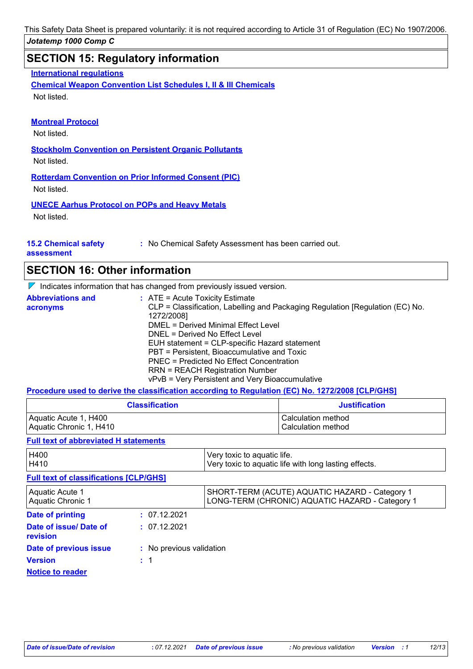*Jotatemp 1000 Comp C* This Safety Data Sheet is prepared voluntarily: it is not required according to Article 31 of Regulation (EC) No 1907/2006.

## **SECTION 15: Regulatory information**

**International regulations**

**Chemical Weapon Convention List Schedules I, II & III Chemicals** Not listed.

#### **Montreal Protocol**

Not listed.

**Stockholm Convention on Persistent Organic Pollutants**

Not listed.

**Rotterdam Convention on Prior Informed Consent (PIC)** Not listed.

**UNECE Aarhus Protocol on POPs and Heavy Metals**

Not listed.

#### **15.2 Chemical safety**

**:** No Chemical Safety Assessment has been carried out.

**assessment**

### **SECTION 16: Other information**

 $\nabla$  Indicates information that has changed from previously issued version.

| <b>Abbreviations and</b> | $\therefore$ ATE = Acute Toxicity Estimate                                                  |
|--------------------------|---------------------------------------------------------------------------------------------|
| acronyms                 | CLP = Classification, Labelling and Packaging Regulation [Regulation (EC) No.<br>1272/2008] |
|                          | DMEL = Derived Minimal Effect Level                                                         |
|                          | DNEL = Derived No Effect Level                                                              |
|                          | EUH statement = CLP-specific Hazard statement                                               |
|                          | PBT = Persistent, Bioaccumulative and Toxic                                                 |
|                          | PNEC = Predicted No Effect Concentration                                                    |
|                          | <b>RRN = REACH Registration Number</b>                                                      |
|                          | vPvB = Very Persistent and Very Bioaccumulative                                             |

**Procedure used to derive the classification according to Regulation (EC) No. 1272/2008 [CLP/GHS]**

| <b>Classification</b>   | <b>Justification</b> |
|-------------------------|----------------------|
| Aquatic Acute 1, H400   | l Calculation method |
| Aquatic Chronic 1, H410 | l Calculation method |

#### **Full text of abbreviated H statements**

| H400<br>H410                                  |                          | Very toxic to aquatic life.<br>Very toxic to aquatic life with long lasting effects.              |
|-----------------------------------------------|--------------------------|---------------------------------------------------------------------------------------------------|
| <b>Full text of classifications [CLP/GHS]</b> |                          |                                                                                                   |
| Aquatic Acute 1<br>Aquatic Chronic 1          |                          | SHORT-TERM (ACUTE) AQUATIC HAZARD - Category 1<br>LONG-TERM (CHRONIC) AQUATIC HAZARD - Category 1 |
| Date of printing                              | : 07.12.2021             |                                                                                                   |
| Date of issue/ Date of<br>revision            | : 07.12.2021             |                                                                                                   |
| Date of previous issue                        | : No previous validation |                                                                                                   |
| <b>Version</b>                                | $\div$ 1                 |                                                                                                   |
| <b>Notice to reader</b>                       |                          |                                                                                                   |